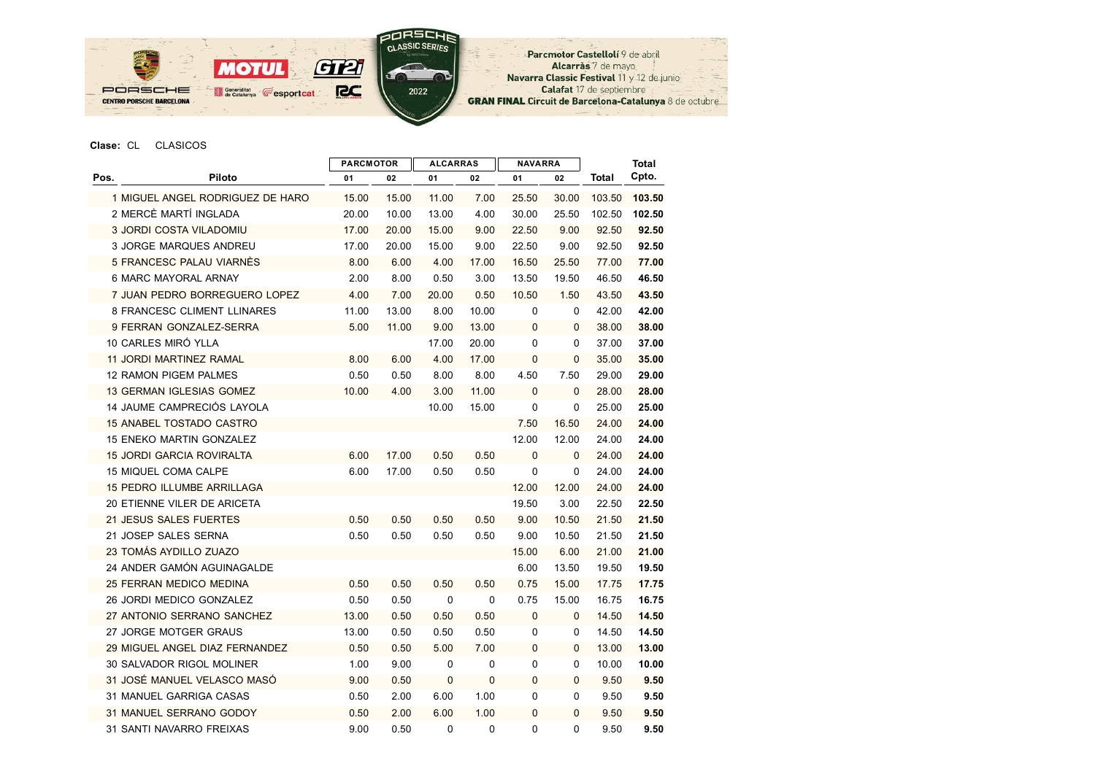

| Pos.<br>Piloto                     | <b>PARCMOTOR</b> |       | <b>ALCARRAS</b> |             | <b>NAVARRA</b> |              |              | <b>Total</b> |
|------------------------------------|------------------|-------|-----------------|-------------|----------------|--------------|--------------|--------------|
|                                    | 01               | 02    | 01              | 02          | 01             | 02           | <b>Total</b> | Cpto.        |
| 1 MIGUEL ANGEL RODRIGUEZ DE HARO   | 15.00            | 15.00 | 11.00           | 7.00        | 25.50          | 30.00        | 103.50       | 103.50       |
| 2 MERCÈ MARTÍ INGLADA              | 20.00            | 10.00 | 13.00           | 4.00        | 30.00          | 25.50        | 102.50       | 102.50       |
| <b>3 JORDI COSTA VILADOMIU</b>     | 17.00            | 20.00 | 15.00           | 9.00        | 22.50          | 9.00         | 92.50        | 92.50        |
| <b>3 JORGE MARQUES ANDREU</b>      | 17.00            | 20.00 | 15.00           | 9.00        | 22.50          | 9.00         | 92.50        | 92.50        |
| 5 FRANCESC PALAU VIARNÈS           | 8.00             | 6.00  | 4.00            | 17.00       | 16.50          | 25.50        | 77.00        | 77.00        |
| 6 MARC MAYORAL ARNAY               | 2.00             | 8.00  | 0.50            | 3.00        | 13.50          | 19.50        | 46.50        | 46.50        |
| 7 JUAN PEDRO BORREGUERO LOPEZ      | 4.00             | 7.00  | 20.00           | 0.50        | 10.50          | 1.50         | 43.50        | 43.50        |
| <b>8 FRANCESC CLIMENT LLINARES</b> | 11.00            | 13.00 | 8.00            | 10.00       | $\mathbf 0$    | 0            | 42.00        | 42.00        |
| 9 FERRAN GONZALEZ-SERRA            | 5.00             | 11.00 | 9.00            | 13.00       | 0              | $\mathbf{0}$ | 38.00        | 38.00        |
| 10 CARLES MIRÓ YLLA                |                  |       | 17.00           | 20.00       | 0              | $\mathbf 0$  | 37.00        | 37.00        |
| 11 JORDI MARTINEZ RAMAL            | 8.00             | 6.00  | 4.00            | 17.00       | 0              | $\mathbf{0}$ | 35.00        | 35.00        |
| <b>12 RAMON PIGEM PALMES</b>       | 0.50             | 0.50  | 8.00            | 8.00        | 4.50           | 7.50         | 29.00        | 29.00        |
| <b>13 GERMAN IGLESIAS GOMEZ</b>    | 10.00            | 4.00  | 3.00            | 11.00       | $\mathbf 0$    | $\mathbf{0}$ | 28.00        | 28.00        |
| 14 JAUME CAMPRECIÓS LAYOLA         |                  |       | 10.00           | 15.00       | $\mathbf 0$    | 0            | 25.00        | 25.00        |
| 15 ANABEL TOSTADO CASTRO           |                  |       |                 |             | 7.50           | 16.50        | 24.00        | 24.00        |
| <b>15 ENEKO MARTIN GONZALEZ</b>    |                  |       |                 |             | 12.00          | 12.00        | 24.00        | 24.00        |
| <b>15 JORDI GARCIA ROVIRALTA</b>   | 6.00             | 17.00 | 0.50            | 0.50        | $\mathbf{0}$   | $\Omega$     | 24.00        | 24.00        |
| 15 MIQUEL COMA CALPE               | 6.00             | 17.00 | 0.50            | 0.50        | $\mathbf 0$    | 0            | 24.00        | 24.00        |
| 15 PEDRO ILLUMBE ARRILLAGA         |                  |       |                 |             | 12.00          | 12.00        | 24.00        | 24.00        |
| 20 ETIENNE VILER DE ARICETA        |                  |       |                 |             | 19.50          | 3.00         | 22.50        | 22.50        |
| 21 JESUS SALES FUERTES             | 0.50             | 0.50  | 0.50            | 0.50        | 9.00           | 10.50        | 21.50        | 21.50        |
| 21 JOSEP SALES SERNA               | 0.50             | 0.50  | 0.50            | 0.50        | 9.00           | 10.50        | 21.50        | 21.50        |
| 23 TOMÁS AYDILLO ZUAZO             |                  |       |                 |             | 15.00          | 6.00         | 21.00        | 21.00        |
| 24 ANDER GAMÓN AGUINAGALDE         |                  |       |                 |             | 6.00           | 13.50        | 19.50        | 19.50        |
| 25 FERRAN MEDICO MEDINA            | 0.50             | 0.50  | 0.50            | 0.50        | 0.75           | 15.00        | 17.75        | 17.75        |
| 26 JORDI MEDICO GONZALEZ           | 0.50             | 0.50  | $\mathbf 0$     | 0           | 0.75           | 15.00        | 16.75        | 16.75        |
| 27 ANTONIO SERRANO SANCHEZ         | 13.00            | 0.50  | 0.50            | 0.50        | $\mathbf 0$    | $\mathbf{0}$ | 14.50        | 14.50        |
| 27 JORGE MOTGER GRAUS              | 13.00            | 0.50  | 0.50            | 0.50        | 0              | 0            | 14.50        | 14.50        |
| 29 MIGUEL ANGEL DIAZ FERNANDEZ     | 0.50             | 0.50  | 5.00            | 7.00        | 0              | $\mathbf{0}$ | 13.00        | 13.00        |
| <b>30 SALVADOR RIGOL MOLINER</b>   | 1.00             | 9.00  | 0               | 0           | 0              | 0            | 10.00        | 10.00        |
| 31 JOSÉ MANUEL VELASCO MASÓ        | 9.00             | 0.50  | $\mathbf 0$     | $\mathbf 0$ | $\mathbf 0$    | $\Omega$     | 9.50         | 9.50         |
| <b>31 MANUEL GARRIGA CASAS</b>     | 0.50             | 2.00  | 6.00            | 1.00        | $\mathbf 0$    | 0            | 9.50         | 9.50         |
| 31 MANUEL SERRANO GODOY            | 0.50             | 2.00  | 6.00            | 1.00        | 0              | $\Omega$     | 9.50         | 9.50         |
| 31 SANTI NAVARRO FREIXAS           | 9.00             | 0.50  | 0               | 0           | 0              | 0            | 9.50         | 9.50         |
|                                    |                  |       |                 |             |                |              |              |              |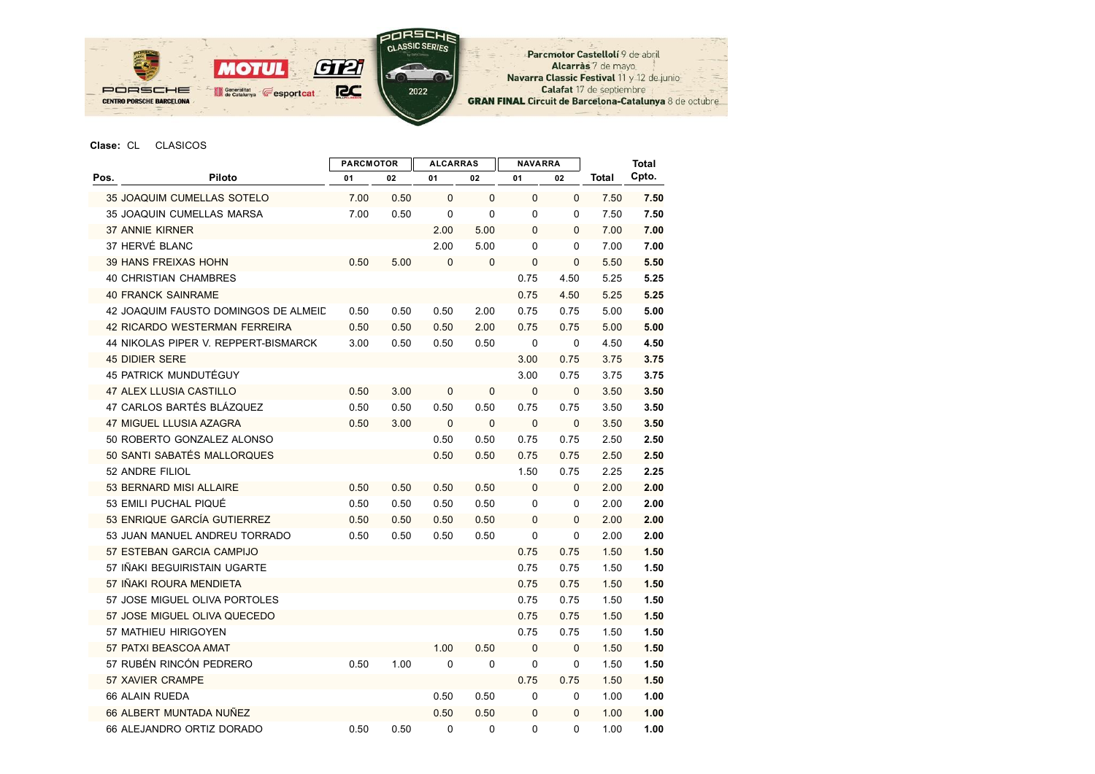

|      |                                      |      | <b>PARCMOTOR</b> |              | <b>ALCARRAS</b> |              | <b>NAVARRA</b> |       | <b>Total</b> |
|------|--------------------------------------|------|------------------|--------------|-----------------|--------------|----------------|-------|--------------|
| Pos. | <b>Piloto</b>                        | 01   | 02               | 01           | 02              | 01           | 02             | Total | Cpto.        |
|      | <b>35 JOAQUIM CUMELLAS SOTELO</b>    | 7.00 | 0.50             | $\Omega$     | $\mathbf 0$     | $\mathbf 0$  | $\mathbf 0$    | 7.50  | 7.50         |
|      | <b>35 JOAQUIN CUMELLAS MARSA</b>     | 7.00 | 0.50             | $\mathbf 0$  | 0               | 0            | 0              | 7.50  | 7.50         |
|      | <b>37 ANNIE KIRNER</b>               |      |                  | 2.00         | 5.00            | 0            | 0              | 7.00  | 7.00         |
|      | 37 HERVÉ BLANC                       |      |                  | 2.00         | 5.00            | $\mathbf{0}$ | 0              | 7.00  | 7.00         |
|      | <b>39 HANS FREIXAS HOHN</b>          | 0.50 | 5.00             | $\mathbf 0$  | 0               | $\mathbf 0$  | $\Omega$       | 5.50  | 5.50         |
|      | <b>40 CHRISTIAN CHAMBRES</b>         |      |                  |              |                 | 0.75         | 4.50           | 5.25  | 5.25         |
|      | <b>40 FRANCK SAINRAME</b>            |      |                  |              |                 | 0.75         | 4.50           | 5.25  | 5.25         |
|      | 42 JOAQUIM FAUSTO DOMINGOS DE ALMEID | 0.50 | 0.50             | 0.50         | 2.00            | 0.75         | 0.75           | 5.00  | 5.00         |
|      | 42 RICARDO WESTERMAN FERREIRA        | 0.50 | 0.50             | 0.50         | 2.00            | 0.75         | 0.75           | 5.00  | 5.00         |
|      | 44 NIKOLAS PIPER V. REPPERT-BISMARCK | 3.00 | 0.50             | 0.50         | 0.50            | $\mathbf 0$  | $\mathbf 0$    | 4.50  | 4.50         |
|      | <b>45 DIDIER SERE</b>                |      |                  |              |                 | 3.00         | 0.75           | 3.75  | 3.75         |
|      | 45 PATRICK MUNDUTÉGUY                |      |                  |              |                 | 3.00         | 0.75           | 3.75  | 3.75         |
|      | <b>47 ALEX LLUSIA CASTILLO</b>       | 0.50 | 3.00             | 0            | 0               | 0            | 0              | 3.50  | 3.50         |
|      | 47 CARLOS BARTÉS BLÁZQUEZ            | 0.50 | 0.50             | 0.50         | 0.50            | 0.75         | 0.75           | 3.50  | 3.50         |
|      | <b>47 MIGUEL LLUSIA AZAGRA</b>       | 0.50 | 3.00             | $\mathbf{0}$ | 0               | $\mathbf 0$  | $\mathbf 0$    | 3.50  | 3.50         |
|      | 50 ROBERTO GONZALEZ ALONSO           |      |                  | 0.50         | 0.50            | 0.75         | 0.75           | 2.50  | 2.50         |
|      | 50 SANTI SABATÉS MALLORQUES          |      |                  | 0.50         | 0.50            | 0.75         | 0.75           | 2.50  | 2.50         |
|      | 52 ANDRE FILIOL                      |      |                  |              |                 | 1.50         | 0.75           | 2.25  | 2.25         |
|      | 53 BERNARD MISI ALLAIRE              | 0.50 | 0.50             | 0.50         | 0.50            | $\mathbf 0$  | $\mathbf 0$    | 2.00  | 2.00         |
|      | 53 EMILI PUCHAL PIQUÉ                | 0.50 | 0.50             | 0.50         | 0.50            | 0            | 0              | 2.00  | 2.00         |
|      | 53 ENRIQUE GARCÍA GUTIERREZ          | 0.50 | 0.50             | 0.50         | 0.50            | $\mathbf 0$  | $\Omega$       | 2.00  | 2.00         |
|      | 53 JUAN MANUEL ANDREU TORRADO        | 0.50 | 0.50             | 0.50         | 0.50            | 0            | 0              | 2.00  | 2.00         |
|      | 57 ESTEBAN GARCIA CAMPIJO            |      |                  |              |                 | 0.75         | 0.75           | 1.50  | 1.50         |
|      | 57 IÑAKI BEGUIRISTAIN UGARTE         |      |                  |              |                 | 0.75         | 0.75           | 1.50  | 1.50         |
|      | 57 IÑAKI ROURA MENDIETA              |      |                  |              |                 | 0.75         | 0.75           | 1.50  | 1.50         |
|      | 57 JOSE MIGUEL OLIVA PORTOLES        |      |                  |              |                 | 0.75         | 0.75           | 1.50  | 1.50         |
|      | 57 JOSE MIGUEL OLIVA QUECEDO         |      |                  |              |                 | 0.75         | 0.75           | 1.50  | 1.50         |
|      | 57 MATHIEU HIRIGOYEN                 |      |                  |              |                 | 0.75         | 0.75           | 1.50  | 1.50         |
|      | 57 PATXI BEASCOA AMAT                |      |                  | 1.00         | 0.50            | 0            | $\mathbf 0$    | 1.50  | 1.50         |
|      | 57 RUBÉN RINCÓN PEDRERO              | 0.50 | 1.00             | 0            | 0               | 0            | 0              | 1.50  | 1.50         |
|      | <b>57 XAVIER CRAMPE</b>              |      |                  |              |                 | 0.75         | 0.75           | 1.50  | 1.50         |
|      | 66 ALAIN RUEDA                       |      |                  | 0.50         | 0.50            | 0            | 0              | 1.00  | 1.00         |
|      | 66 ALBERT MUNTADA NUÑEZ              |      |                  | 0.50         | 0.50            | 0            | 0              | 1.00  | 1.00         |
|      | 66 ALEJANDRO ORTIZ DORADO            | 0.50 | 0.50             | 0            | 0               | 0            | 0              | 1.00  | 1.00         |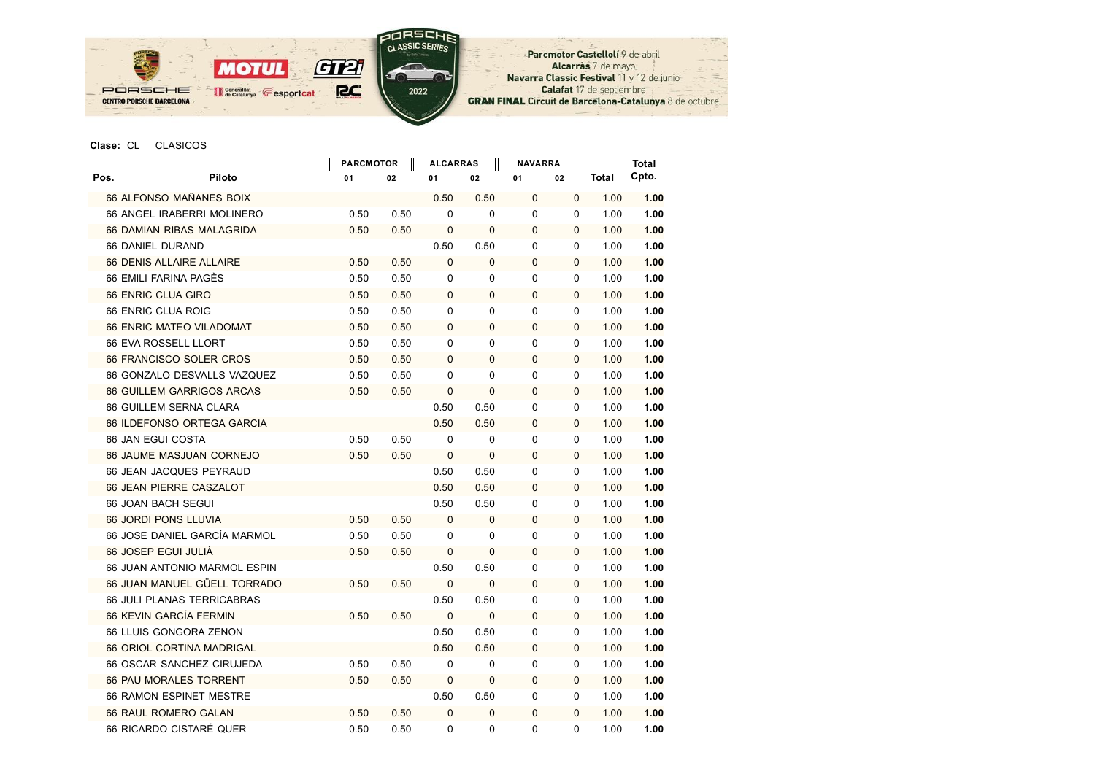

| Pos.<br>Piloto | <b>PARCMOTOR</b>             |      | <b>ALCARRAS</b> |              | <b>NAVARRA</b> |             |              | <b>Total</b> |       |
|----------------|------------------------------|------|-----------------|--------------|----------------|-------------|--------------|--------------|-------|
|                |                              | 01   | 02              | 01           | 02             | 01          | 02           | Total        | Cpto. |
|                | 66 ALFONSO MAÑANES BOIX      |      |                 | 0.50         | 0.50           | 0           | $\mathbf{0}$ | 1.00         | 1.00  |
|                | 66 ANGEL IRABERRI MOLINERO   | 0.50 | 0.50            | 0            | 0              | 0           | 0            | 1.00         | 1.00  |
|                | 66 DAMIAN RIBAS MALAGRIDA    | 0.50 | 0.50            | $\mathbf 0$  | 0              | 0           | $\Omega$     | 1.00         | 1.00  |
|                | <b>66 DANIEL DURAND</b>      |      |                 | 0.50         | 0.50           | 0           | 0            | 1.00         | 1.00  |
|                | 66 DENIS ALLAIRE ALLAIRE     | 0.50 | 0.50            | $\mathbf 0$  | 0              | 0           | 0            | 1.00         | 1.00  |
|                | 66 EMILI FARINA PAGĖS        | 0.50 | 0.50            | 0            | 0              | 0           | 0            | 1.00         | 1.00  |
|                | 66 ENRIC CLUA GIRO           | 0.50 | 0.50            | $\mathbf{0}$ | 0              | 0           | $\Omega$     | 1.00         | 1.00  |
|                | 66 ENRIC CLUA ROIG           | 0.50 | 0.50            | 0            | 0              | 0           | 0            | 1.00         | 1.00  |
|                | 66 ENRIC MATEO VILADOMAT     | 0.50 | 0.50            | 0            | 0              | 0           | $\Omega$     | 1.00         | 1.00  |
|                | 66 EVA ROSSELL LLORT         | 0.50 | 0.50            | 0            | 0              | 0           | 0            | 1.00         | 1.00  |
|                | 66 FRANCISCO SOLER CROS      | 0.50 | 0.50            | $\mathbf 0$  | 0              | $\mathbf 0$ | 0            | 1.00         | 1.00  |
|                | 66 GONZALO DESVALLS VAZQUEZ  | 0.50 | 0.50            | 0            | 0              | 0           | 0            | 1.00         | 1.00  |
|                | 66 GUILLEM GARRIGOS ARCAS    | 0.50 | 0.50            | 0            | 0              | 0           | 0            | 1.00         | 1.00  |
|                | 66 GUILLEM SERNA CLARA       |      |                 | 0.50         | 0.50           | 0           | 0            | 1.00         | 1.00  |
|                | 66 ILDEFONSO ORTEGA GARCIA   |      |                 | 0.50         | 0.50           | 0           | 0            | 1.00         | 1.00  |
|                | 66 JAN EGUI COSTA            | 0.50 | 0.50            | 0            | 0              | 0           | 0            | 1.00         | 1.00  |
|                | 66 JAUME MASJUAN CORNEJO     | 0.50 | 0.50            | 0            | 0              | 0           | 0            | 1.00         | 1.00  |
|                | 66 JEAN JACQUES PEYRAUD      |      |                 | 0.50         | 0.50           | 0           | 0            | 1.00         | 1.00  |
|                | 66 JEAN PIERRE CASZALOT      |      |                 | 0.50         | 0.50           | $\mathbf 0$ | $\mathbf{0}$ | 1.00         | 1.00  |
|                | 66 JOAN BACH SEGUI           |      |                 | 0.50         | 0.50           | 0           | 0            | 1.00         | 1.00  |
|                | 66 JORDI PONS LLUVIA         | 0.50 | 0.50            | $\mathbf{0}$ | 0              | 0           | $\mathbf 0$  | 1.00         | 1.00  |
|                | 66 JOSE DANIEL GARCÍA MARMOL | 0.50 | 0.50            | 0            | 0              | 0           | 0            | 1.00         | 1.00  |
|                | 66 JOSEP EGUI JULIÀ          | 0.50 | 0.50            | $\mathbf 0$  | 0              | $\mathbf 0$ | 0            | 1.00         | 1.00  |
|                | 66 JUAN ANTONIO MARMOL ESPIN |      |                 | 0.50         | 0.50           | 0           | 0            | 1.00         | 1.00  |
|                | 66 JUAN MANUEL GÜELL TORRADO | 0.50 | 0.50            | $\mathbf 0$  | 0              | 0           | 0            | 1.00         | 1.00  |
|                | 66 JULI PLANAS TERRICABRAS   |      |                 | 0.50         | 0.50           | 0           | 0            | 1.00         | 1.00  |
|                | 66 KEVIN GARCÍA FERMIN       | 0.50 | 0.50            | $\mathbf 0$  | $\mathbf 0$    | 0           | $\Omega$     | 1.00         | 1.00  |
|                | 66 LLUIS GONGORA ZENON       |      |                 | 0.50         | 0.50           | 0           | 0            | 1.00         | 1.00  |
|                | 66 ORIOL CORTINA MADRIGAL    |      |                 | 0.50         | 0.50           | 0           | 0            | 1.00         | 1.00  |
|                | 66 OSCAR SANCHEZ CIRUJEDA    | 0.50 | 0.50            | 0            | 0              | 0           | 0            | 1.00         | 1.00  |
|                | 66 PAU MORALES TORRENT       | 0.50 | 0.50            | $\mathbf 0$  | $\mathbf 0$    | 0           | $\Omega$     | 1.00         | 1.00  |
|                | 66 RAMON ESPINET MESTRE      |      |                 | 0.50         | 0.50           | 0           | 0            | 1.00         | 1.00  |
|                | 66 RAUL ROMERO GALAN         | 0.50 | 0.50            | $\mathbf 0$  | 0              | 0           | $\mathbf 0$  | 1.00         | 1.00  |
|                | 66 RICARDO CISTARÉ QUER      | 0.50 | 0.50            | 0            | 0              | 0           | 0            | 1.00         | 1.00  |